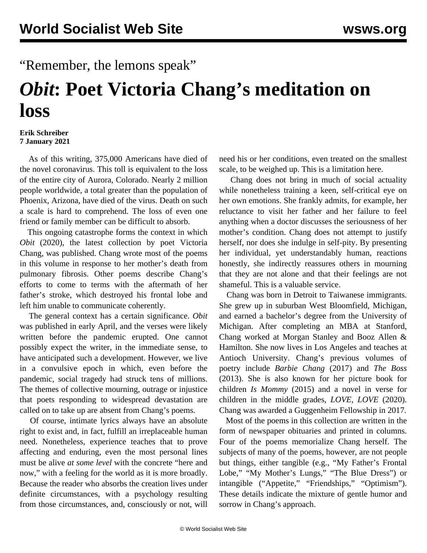## "Remember, the lemons speak"

## *Obit***: Poet Victoria Chang's meditation on loss**

## **Erik Schreiber 7 January 2021**

 As of this writing, 375,000 Americans have died of the novel coronavirus. This toll is equivalent to the loss of the entire city of Aurora, Colorado. Nearly 2 million people worldwide, a total greater than the population of Phoenix, Arizona, have died of the virus. Death on such a scale is hard to comprehend. The loss of even one friend or family member can be difficult to absorb.

 This ongoing catastrophe forms the context in which *Obit* (2020), the latest collection by poet Victoria Chang, was published. Chang wrote most of the poems in this volume in response to her mother's death from pulmonary fibrosis. Other poems describe Chang's efforts to come to terms with the aftermath of her father's stroke, which destroyed his frontal lobe and left him unable to communicate coherently.

 The general context has a certain significance. *Obit* was published in early April, and the verses were likely written before the pandemic erupted. One cannot possibly expect the writer, in the immediate sense, to have anticipated such a development. However, we live in a convulsive epoch in which, even before the pandemic, social tragedy had struck tens of millions. The themes of collective mourning, outrage or injustice that poets responding to widespread devastation are called on to take up are absent from Chang's poems.

 Of course, intimate lyrics always have an absolute right to exist and, in fact, fulfill an irreplaceable human need. Nonetheless, experience teaches that to prove affecting and enduring, even the most personal lines must be alive *at some level* with the concrete "here and now," with a feeling for the world as it is more broadly. Because the reader who absorbs the creation lives under definite circumstances, with a psychology resulting from those circumstances, and, consciously or not, will

need his or her conditions, even treated on the smallest scale, to be weighed up. This is a limitation here.

 Chang does not bring in much of social actuality while nonetheless training a keen, self-critical eye on her own emotions. She frankly admits, for example, her reluctance to visit her father and her failure to feel anything when a doctor discusses the seriousness of her mother's condition. Chang does not attempt to justify herself, nor does she indulge in self-pity. By presenting her individual, yet understandably human, reactions honestly, she indirectly reassures others in mourning that they are not alone and that their feelings are not shameful. This is a valuable service.

 Chang was born in Detroit to Taiwanese immigrants. She grew up in suburban West Bloomfield, Michigan, and earned a bachelor's degree from the University of Michigan. After completing an MBA at Stanford, Chang worked at Morgan Stanley and Booz Allen & Hamilton. She now lives in Los Angeles and teaches at Antioch University. Chang's previous volumes of poetry include *Barbie Chang* (2017) and *The Boss* (2013). She is also known for her picture book for children *Is Mommy* (2015) and a novel in verse for children in the middle grades, *LOVE, LOVE* (2020). Chang was awarded a Guggenheim Fellowship in 2017.

 Most of the poems in this collection are written in the form of newspaper obituaries and printed in columns. Four of the poems memorialize Chang herself. The subjects of many of the poems, however, are not people but things, either tangible (e.g., "My Father's Frontal Lobe," "My Mother's Lungs," "The Blue Dress") or intangible ("Appetite," "Friendships," "Optimism"). These details indicate the mixture of gentle humor and sorrow in Chang's approach.